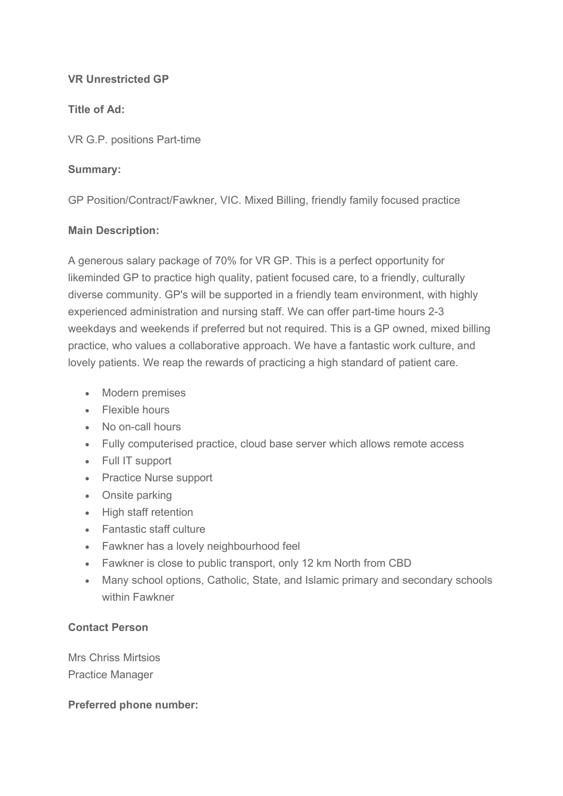### VR Unrestricted GP

## Title of Ad:

VR G.P. positions Part-time

### Summary:

GP Position/Contract/Fawkner, VIC. Mixed Billing, friendly family focused practice

### Main Description:

A generous salary package of 70% for VR GP. This is a perfect opportunity for likeminded GP to practice high quality, patient focused care, to a friendly, culturally diverse community. GP's will be supported in a friendly team environment, with highly experienced administration and nursing staff. We can offer part-time hours 2-3 weekdays and weekends if preferred but not required. This is a GP owned, mixed billing practice, who values a collaborative approach. We have a fantastic work culture, and lovely patients. We reap the rewards of practicing a high standard of patient care.

- Modern premises
- Flexible hours
- No on-call hours
- Fully computerised practice, cloud base server which allows remote access
- Full IT support
- Practice Nurse support
- Onsite parking
- High staff retention
- Fantastic staff culture
- Fawkner has a lovely neighbourhood feel
- Fawkner is close to public transport, only 12 km North from CBD
- Many school options, Catholic, State, and Islamic primary and secondary schools within Fawkner

# Contact Person

Mrs Chriss Mirtsios Practice Manager

# Preferred phone number: